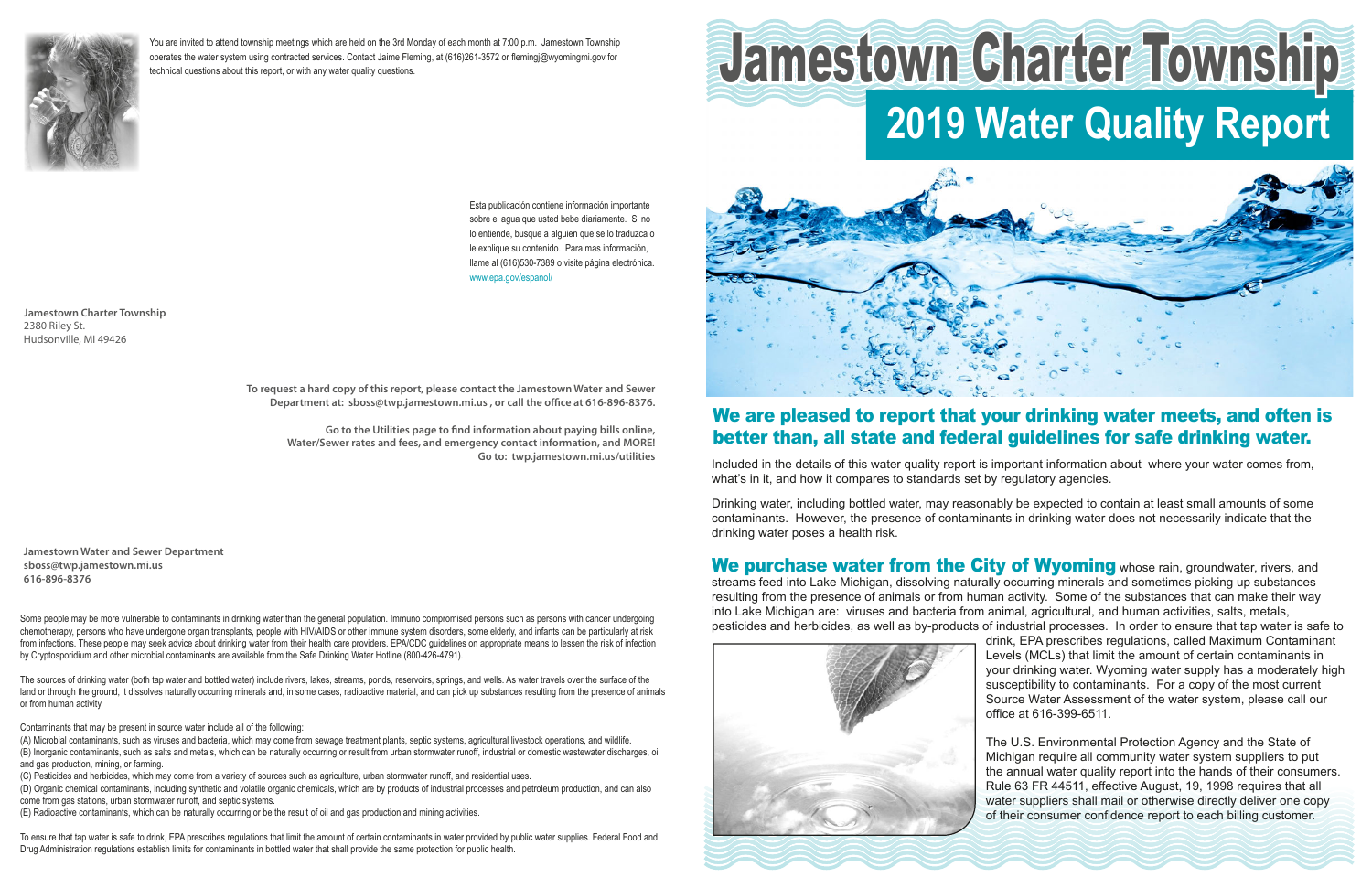

You are invited to attend township meetings which are held on the 3rd Monday of each month at 7:00 p.m. Jamestown Township operates the water system using contracted services. Contact Jaime Fleming, at (616)261-3572 or flemingi@wyomingmi.gov for technical questions about this report, or with any water quality questions.

> Esta publicación contiene información importante sobre el aqua que usted bebe diariamente. Si no lo entiende, busque a alguien que se lo traduzca o le explique su contenido. Para mas información, Ilame al (616)530-7389 o visite página electrónica. www.epa.gov/espanol/

**Jamestown Charter Township** 2380 Riley St. Hudsonville, MI 49426

> To request a hard copy of this report, please contact the Jamestown Water and Sewer Department at: sboss@twp.jamestown.mi.us, or call the office at 616-896-8376.

Go to the Utilities page to find information about paying bills online, Water/Sewer rates and fees, and emergency contact information, and MORE! Go to: twp.jamestown.mi.us/utilities

**Jamestown Water and Sewer Department** sboss@twp.jamestown.mi.us 616-896-8376

Some people may be more vulnerable to contaminants in drinking water than the general population. Immuno compromised persons such as persons with cancer undergoing chemotherapy, persons who have undergone organ transplants, people with HIV/AIDS or other immune system disorders, some elderly, and infants can be particularly at risk from infections. These people may seek advice about drinking water from their health care providers. EPA/CDC guidelines on appropriate means to lessen the risk of infection by Cryptosporidium and other microbial contaminants are available from the Safe Drinking Water Hotline (800-426-4791).

The sources of drinking water (both tap water and bottled water) include rivers, lakes, streams, ponds, reservoirs, springs, and wells. As water travels over the surface of the land or through the ground, it dissolves naturally occurring minerals and, in some cases, radioactive material, and can pick up substances resulting from the presence of animals or from human activity.

Contaminants that may be present in source water include all of the following:

(A) Microbial contaminants, such as viruses and bacteria, which may come from sewage treatment plants, septic systems, agricultural livestock operations, and wildlife. (B) Inorganic contaminants, such as salts and metals, which can be naturally occurring or result from urban stormwater runoff, industrial or domestic wastewater discharges, oil and gas production, mining, or farming.

(C) Pesticides and herbicides, which may come from a variety of sources such as agriculture, urban stormwater runoff, and residential uses.

(D) Organic chemical contaminants, including synthetic and volatile organic chemicals, which are by products of industrial processes and petroleum production, and can also come from gas stations, urban stormwater runoff, and septic systems.

(E) Radioactive contaminants, which can be naturally occurring or be the result of oil and gas production and mining activities.

To ensure that tap water is safe to drink, EPA prescribes regulations that limit the amount of certain contaminants in water provided by public water supplies. Federal Food and Drug Administration regulations establish limits for contaminants in bottled water that shall provide the same protection for public health.

# Jamestown Charter Township **2019 Water Quality Report**



## We are pleased to report that your drinking water meets, and often is better than, all state and federal guidelines for safe drinking water.

Included in the details of this water quality report is important information about where your water comes from, what's in it, and how it compares to standards set by regulatory agencies.

Drinking water, including bottled water, may reasonably be expected to contain at least small amounts of some contaminants. However, the presence of contaminants in drinking water does not necessarily indicate that the drinking water poses a health risk.

We purchase water from the City of Wyoming whose rain, groundwater, rivers, and streams feed into Lake Michigan, dissolving naturally occurring minerals and sometimes picking up substances resulting from the presence of animals or from human activity. Some of the substances that can make their way into Lake Michigan are: viruses and bacteria from animal, agricultural, and human activities, salts, metals, pesticides and herbicides, as well as by-products of industrial processes. In order to ensure that tap water is safe to drink, EPA prescribes regulations, called Maximum Contaminant Levels (MCLs) that limit the amount of certain contaminants in your drinking water. Wyoming water supply has a moderately high susceptibility to contaminants. For a copy of the most current Source Water Assessment of the water system, please call our office at 616-399-6511.



The U.S. Environmental Protection Agency and the State of Michigan require all community water system suppliers to put the annual water quality report into the hands of their consumers. Rule 63 FR 44511, effective August, 19, 1998 requires that all water suppliers shall mail or otherwise directly deliver one copy of their consumer confidence report to each billing customer.